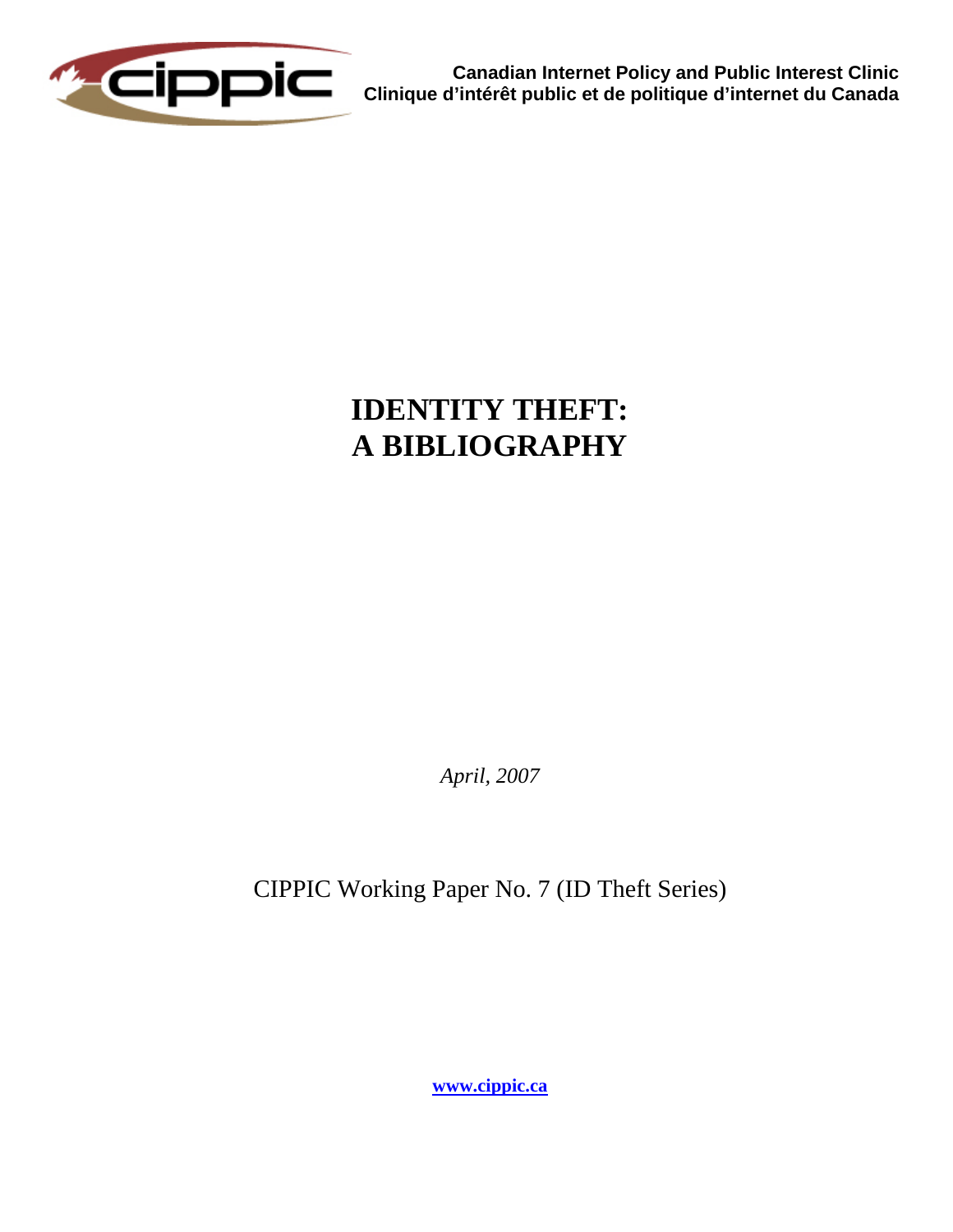

**Canadian Internet Policy and Public Interest Clinic Clinique d'intérêt public et de politique d'internet du Canada** 

# **IDENTITY THEFT: A BIBLIOGRAPHY**

*April, 2007* 

CIPPIC Working Paper No. 7 (ID Theft Series)

**[www.cippic.ca](http://www.cippic.ca/)**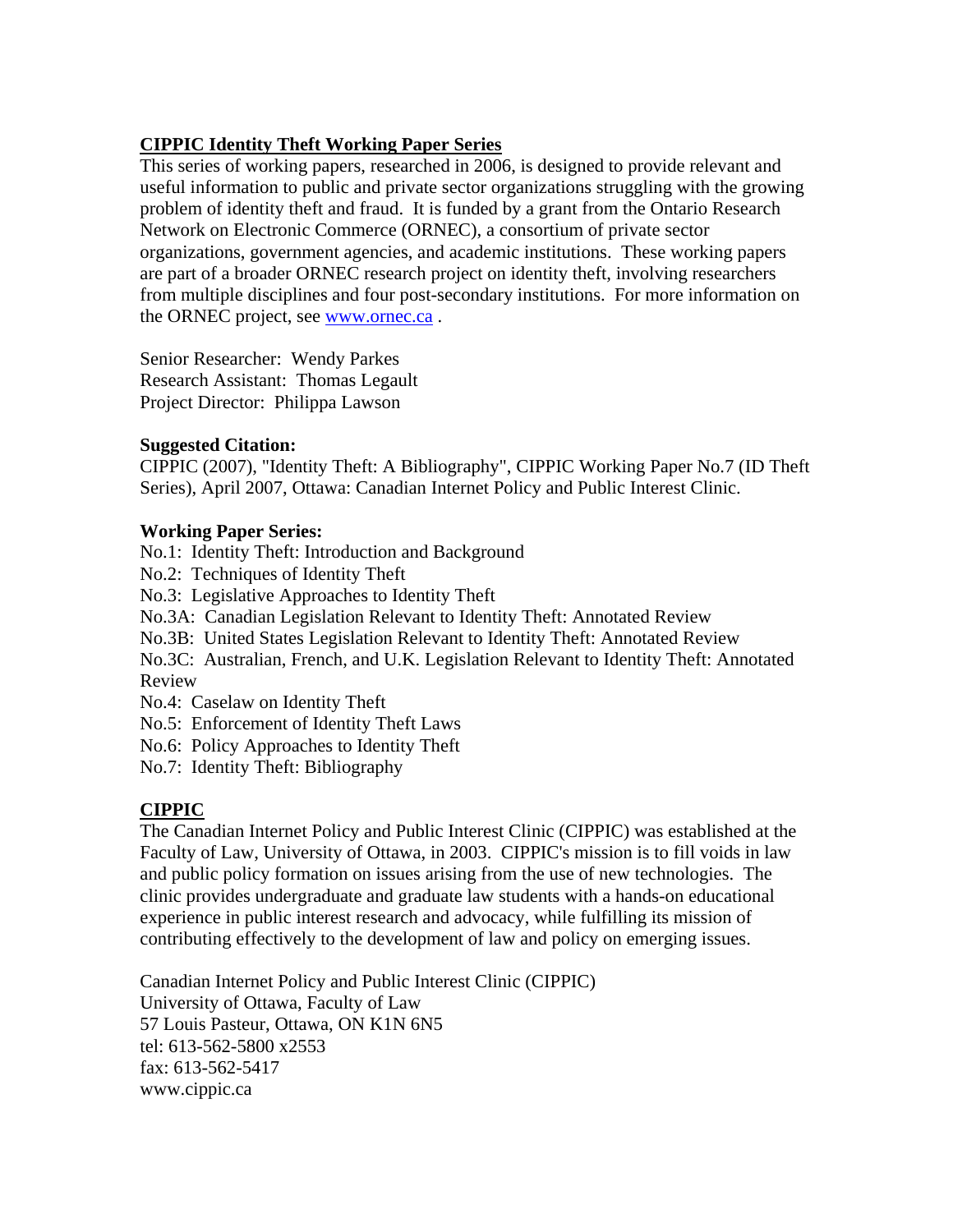# **CIPPIC Identity Theft Working Paper Series**

This series of working papers, researched in 2006, is designed to provide relevant and useful information to public and private sector organizations struggling with the growing problem of identity theft and fraud. It is funded by a grant from the Ontario Research Network on Electronic Commerce (ORNEC), a consortium of private sector organizations, government agencies, and academic institutions. These working papers are part of a broader ORNEC research project on identity theft, involving researchers from multiple disciplines and four post-secondary institutions. For more information on the ORNEC project, see [www.ornec.ca](http://www.ornec.ca/) .

Senior Researcher: Wendy Parkes Research Assistant: Thomas Legault Project Director: Philippa Lawson

#### **Suggested Citation:**

CIPPIC (2007), "Identity Theft: A Bibliography", CIPPIC Working Paper No.7 (ID Theft Series), April 2007, Ottawa: Canadian Internet Policy and Public Interest Clinic.

# **Working Paper Series:**

No.1: Identity Theft: Introduction and Background

No.2: Techniques of Identity Theft

No.3: Legislative Approaches to Identity Theft

No.3A: Canadian Legislation Relevant to Identity Theft: Annotated Review

No.3B: United States Legislation Relevant to Identity Theft: Annotated Review

No.3C: Australian, French, and U.K. Legislation Relevant to Identity Theft: Annotated Review

No.4: Caselaw on Identity Theft

No.5: Enforcement of Identity Theft Laws

No.6: Policy Approaches to Identity Theft

No.7: Identity Theft: Bibliography

# **CIPPIC**

The Canadian Internet Policy and Public Interest Clinic (CIPPIC) was established at the Faculty of Law, University of Ottawa, in 2003. CIPPIC's mission is to fill voids in law and public policy formation on issues arising from the use of new technologies. The clinic provides undergraduate and graduate law students with a hands-on educational experience in public interest research and advocacy, while fulfilling its mission of contributing effectively to the development of law and policy on emerging issues.

Canadian Internet Policy and Public Interest Clinic (CIPPIC) University of Ottawa, Faculty of Law 57 Louis Pasteur, Ottawa, ON K1N 6N5 tel: 613-562-5800 x2553 fax: 613-562-5417 www.cippic.ca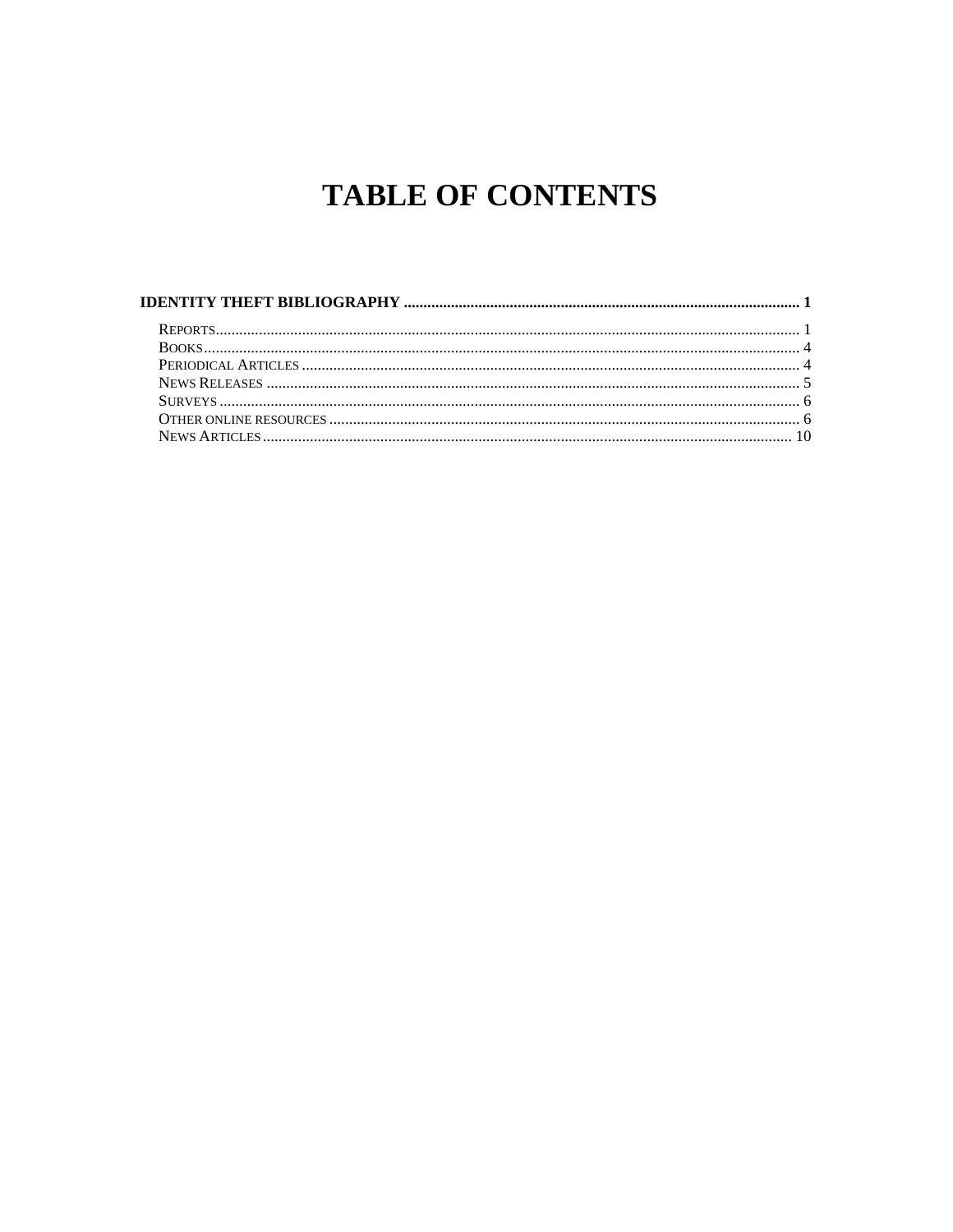# **TABLE OF CONTENTS**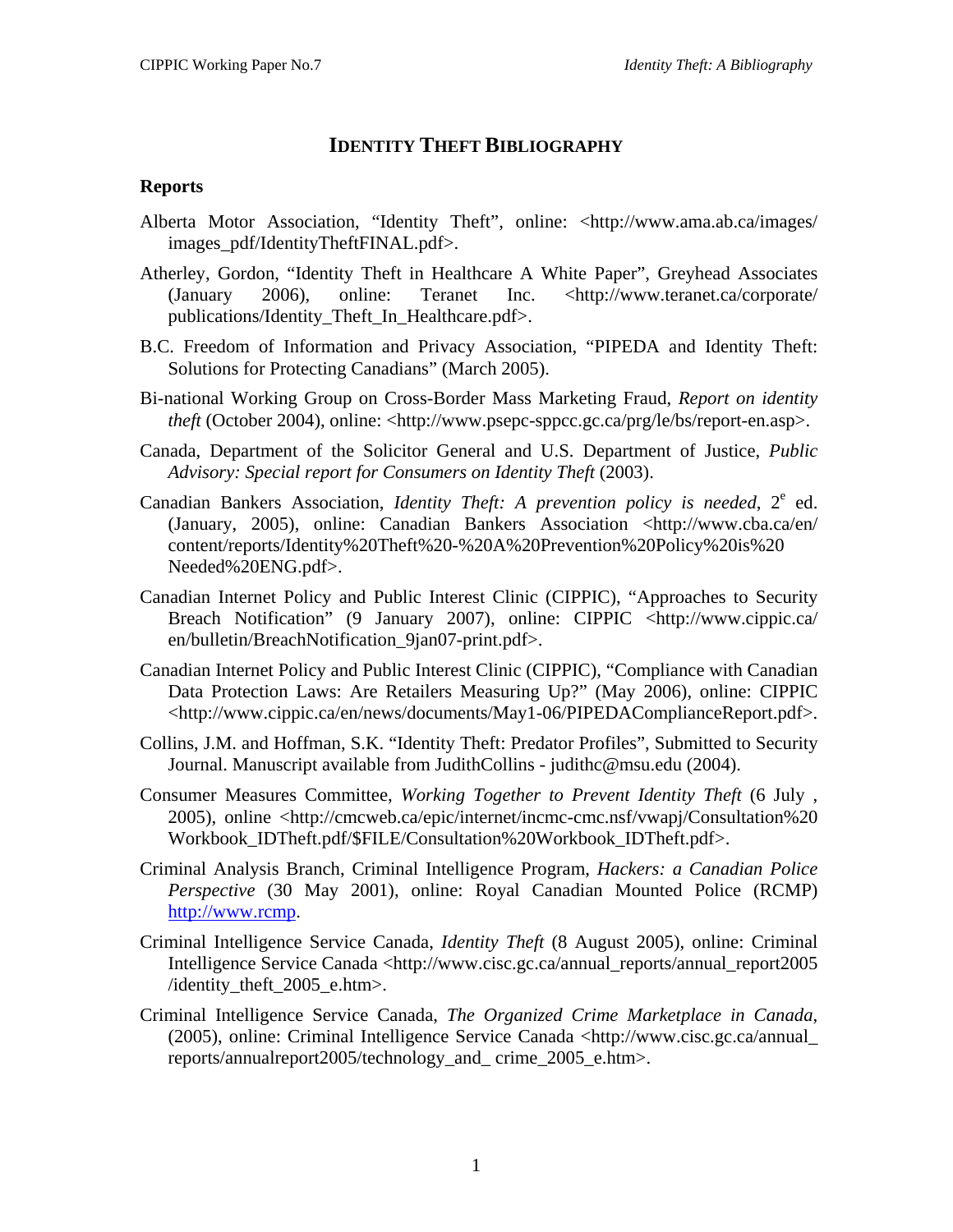# **IDENTITY THEFT BIBLIOGRAPHY**

#### <span id="page-3-0"></span>**Reports**

- Alberta Motor Association, "Identity Theft", online: <http://www.ama.ab.ca/images/ images\_pdf/IdentityTheftFINAL.pdf>.
- Atherley, Gordon, "Identity Theft in Healthcare A White Paper", Greyhead Associates (January 2006), online: Teranet Inc. <http://www.teranet.ca/corporate/ publications/Identity\_Theft\_In\_Healthcare.pdf>.
- B.C. Freedom of Information and Privacy Association, "PIPEDA and Identity Theft: Solutions for Protecting Canadians" (March 2005).
- Bi-national Working Group on Cross-Border Mass Marketing Fraud, *Report on identity theft* (October 2004), online: <http://www.psepc-sppcc.gc.ca/prg/le/bs/report-en.asp>.
- Canada, Department of the Solicitor General and U.S. Department of Justice, *Public Advisory: Special report for Consumers on Identity Theft* (2003).
- Canadian Bankers Association, *Identity Theft: A prevention policy is needed*, 2<sup>e</sup> ed. (January, 2005), online: Canadian Bankers Association <http://www.cba.ca/en/ content/reports/Identity%20Theft%20-%20A%20Prevention%20Policy%20is%20 Needed%20ENG.pdf>.
- Canadian Internet Policy and Public Interest Clinic (CIPPIC), "Approaches to Security Breach Notification" (9 January 2007), online: CIPPIC <http://www.cippic.ca/ en/bulletin/BreachNotification\_9jan07-print.pdf>.
- Canadian Internet Policy and Public Interest Clinic (CIPPIC), "Compliance with Canadian Data Protection Laws: Are Retailers Measuring Up?" (May 2006), online: CIPPIC <http://www.cippic.ca/en/news/documents/May1-06/PIPEDAComplianceReport.pdf>.
- Collins, J.M. and Hoffman, S.K. "Identity Theft: Predator Profiles", Submitted to Security Journal. Manuscript available from JudithCollins - judithc@msu.edu (2004).
- Consumer Measures Committee, *Working Together to Prevent Identity Theft* (6 July , 2005), online <http://cmcweb.ca/epic/internet/incmc-cmc.nsf/vwapj/Consultation%20 Workbook\_IDTheft.pdf/\$FILE/Consultation%20Workbook\_IDTheft.pdf>.
- Criminal Analysis Branch, Criminal Intelligence Program, *Hackers: a Canadian Police Perspective* (30 May 2001), online: Royal Canadian Mounted Police (RCMP) [http://www.rcmp](http://www.rcmp/).
- Criminal Intelligence Service Canada, *Identity Theft* (8 August 2005), online: Criminal Intelligence Service Canada <http://www.cisc.gc.ca/annual\_reports/annual\_report2005 /identity theft  $2005$  e.htm>.
- Criminal Intelligence Service Canada, *The Organized Crime Marketplace in Canada*, (2005), online: Criminal Intelligence Service Canada <http://www.cisc.gc.ca/annual\_ reports/annualreport2005/technology\_and\_ crime\_2005\_e.htm>.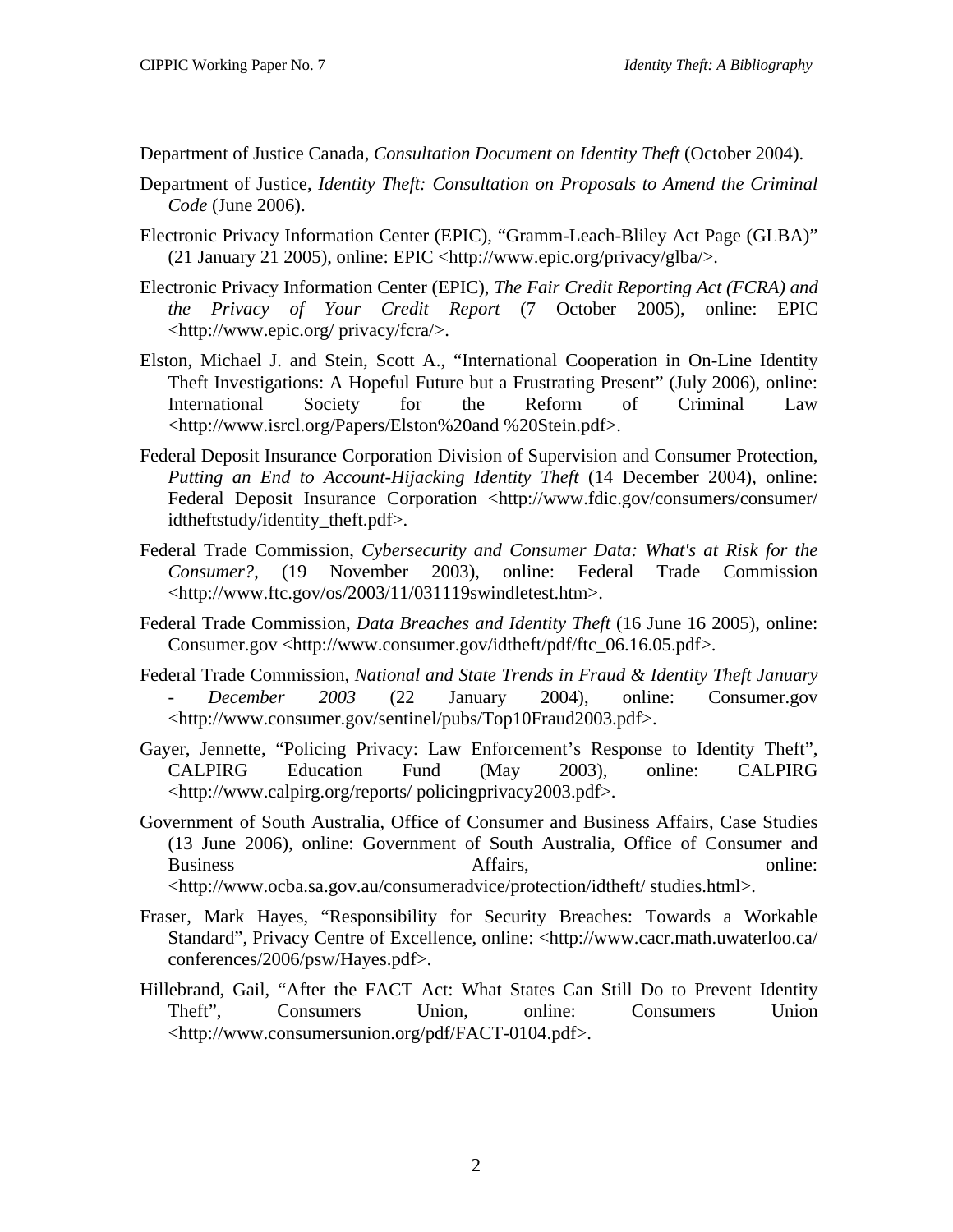Department of Justice Canada, *Consultation Document on Identity Theft* (October 2004).

- Department of Justice, *Identity Theft: Consultation on Proposals to Amend the Criminal Code* (June 2006).
- Electronic Privacy Information Center (EPIC), "Gramm-Leach-Bliley Act Page (GLBA)" (21 January 21 2005), online: EPIC <http://www.epic.org/privacy/glba/>.
- Electronic Privacy Information Center (EPIC), *The Fair Credit Reporting Act (FCRA) and the Privacy of Your Credit Report* (7 October 2005), online: EPIC <http://www.epic.org/ privacy/fcra/>.
- Elston, Michael J. and Stein, Scott A., "International Cooperation in On-Line Identity Theft Investigations: A Hopeful Future but a Frustrating Present" (July 2006), online: International Society for the Reform of Criminal Law <http://www.isrcl.org/Papers/Elston%20and %20Stein.pdf>.
- Federal Deposit Insurance Corporation Division of Supervision and Consumer Protection, *Putting an End to Account-Hijacking Identity Theft* (14 December 2004), online: Federal Deposit Insurance Corporation <http://www.fdic.gov/consumers/consumer/ idtheftstudy/identity\_theft.pdf>.
- Federal Trade Commission, *Cybersecurity and Consumer Data: What's at Risk for the Consumer?*, (19 November 2003), online: Federal Trade Commission <http://www.ftc.gov/os/2003/11/031119swindletest.htm>.
- Federal Trade Commission, *Data Breaches and Identity Theft* (16 June 16 2005), online: Consumer.gov <http://www.consumer.gov/idtheft/pdf/ftc\_06.16.05.pdf>.
- Federal Trade Commission, *National and State Trends in Fraud & Identity Theft January - December 2003* (22 January 2004), online: Consumer.gov <http://www.consumer.gov/sentinel/pubs/Top10Fraud2003.pdf>.
- Gayer, Jennette, "Policing Privacy: Law Enforcement's Response to Identity Theft", CALPIRG Education Fund (May 2003), online: CALPIRG <http://www.calpirg.org/reports/ policingprivacy2003.pdf>.
- Government of South Australia, Office of Consumer and Business Affairs, Case Studies (13 June 2006), online: Government of South Australia, Office of Consumer and Business **Affairs**, **Affairs**, **online**: <http://www.ocba.sa.gov.au/consumeradvice/protection/idtheft/ studies.html>.
- Fraser, Mark Hayes, "Responsibility for Security Breaches: Towards a Workable Standard", Privacy Centre of Excellence, online: <http://www.cacr.math.uwaterloo.ca/ conferences/2006/psw/Hayes.pdf>.
- Hillebrand, Gail, "After the FACT Act: What States Can Still Do to Prevent Identity Theft", Consumers Union, online: Consumers Union <http://www.consumersunion.org/pdf/FACT-0104.pdf>.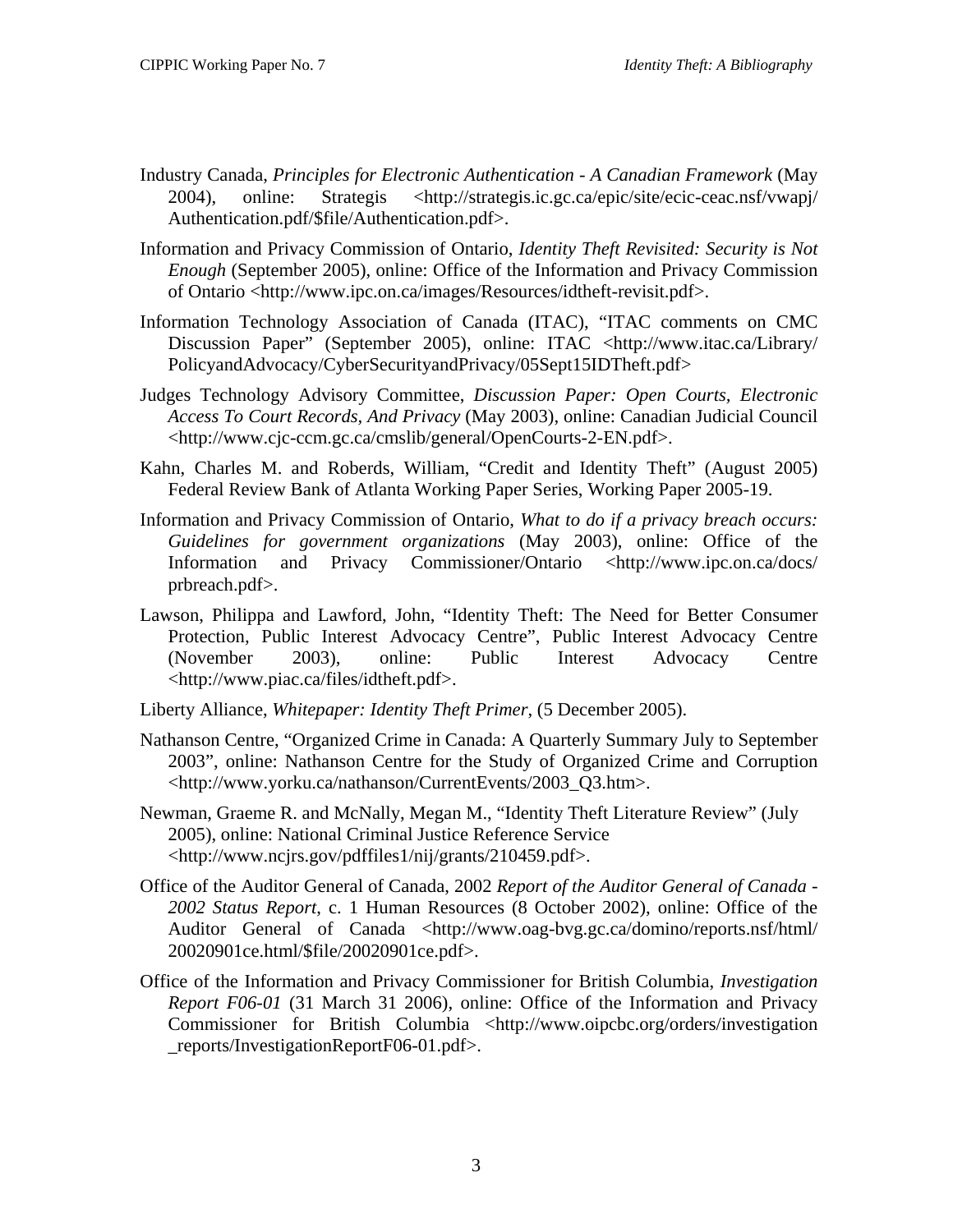- Industry Canada, *Principles for Electronic Authentication A Canadian Framework* (May 2004), online: Strategis <http://strategis.ic.gc.ca/epic/site/ecic-ceac.nsf/vwapj/ Authentication.pdf/\$file/Authentication.pdf>.
- Information and Privacy Commission of Ontario, *Identity Theft Revisited: Security is Not Enough* (September 2005), online: Office of the Information and Privacy Commission of Ontario <http://www.ipc.on.ca/images/Resources/idtheft-revisit.pdf>.
- Information Technology Association of Canada (ITAC), "ITAC comments on CMC Discussion Paper" (September 2005), online: ITAC <http://www.itac.ca/Library/ PolicyandAdvocacy/CyberSecurityandPrivacy/05Sept15IDTheft.pdf>
- Judges Technology Advisory Committee, *Discussion Paper: Open Courts, Electronic Access To Court Records, And Privacy* (May 2003), online: Canadian Judicial Council <http://www.cjc-ccm.gc.ca/cmslib/general/OpenCourts-2-EN.pdf>.
- Kahn, Charles M. and Roberds, William, "Credit and Identity Theft" (August 2005) Federal Review Bank of Atlanta Working Paper Series, Working Paper 2005-19.
- Information and Privacy Commission of Ontario, *What to do if a privacy breach occurs: Guidelines for government organizations* (May 2003), online: Office of the Information and Privacy Commissioner/Ontario <http://www.ipc.on.ca/docs/ prbreach.pdf>.
- Lawson, Philippa and Lawford, John, "Identity Theft: The Need for Better Consumer Protection*,* Public Interest Advocacy Centre", Public Interest Advocacy Centre (November 2003), online: Public Interest Advocacy Centre <http://www.piac.ca/files/idtheft.pdf>.
- Liberty Alliance, *Whitepaper: Identity Theft Primer*, (5 December 2005).
- Nathanson Centre, "Organized Crime in Canada: A Quarterly Summary July to September 2003", online: Nathanson Centre for the Study of Organized Crime and Corruption <http://www.yorku.ca/nathanson/CurrentEvents/2003\_Q3.htm>.
- Newman, Graeme R. and McNally, Megan M., "Identity Theft Literature Review" (July 2005), online: National Criminal Justice Reference Service <http://www.ncjrs.gov/pdffiles1/nij/grants/210459.pdf>.
- Office of the Auditor General of Canada, 2002 *Report of the Auditor General of Canada 2002 Status Report*, c. 1 Human Resources (8 October 2002), online: Office of the Auditor General of Canada <http://www.oag-bvg.gc.ca/domino/reports.nsf/html 20020901ce.html/\$file/20020901ce.pdf>.
- Office of the Information and Privacy Commissioner for British Columbia, *Investigation Report F06-01* (31 March 31 2006), online: Office of the Information and Privacy Commissioner for British Columbia <http://www.oipcbc.org/orders/investigation \_reports/InvestigationReportF06-01.pdf>.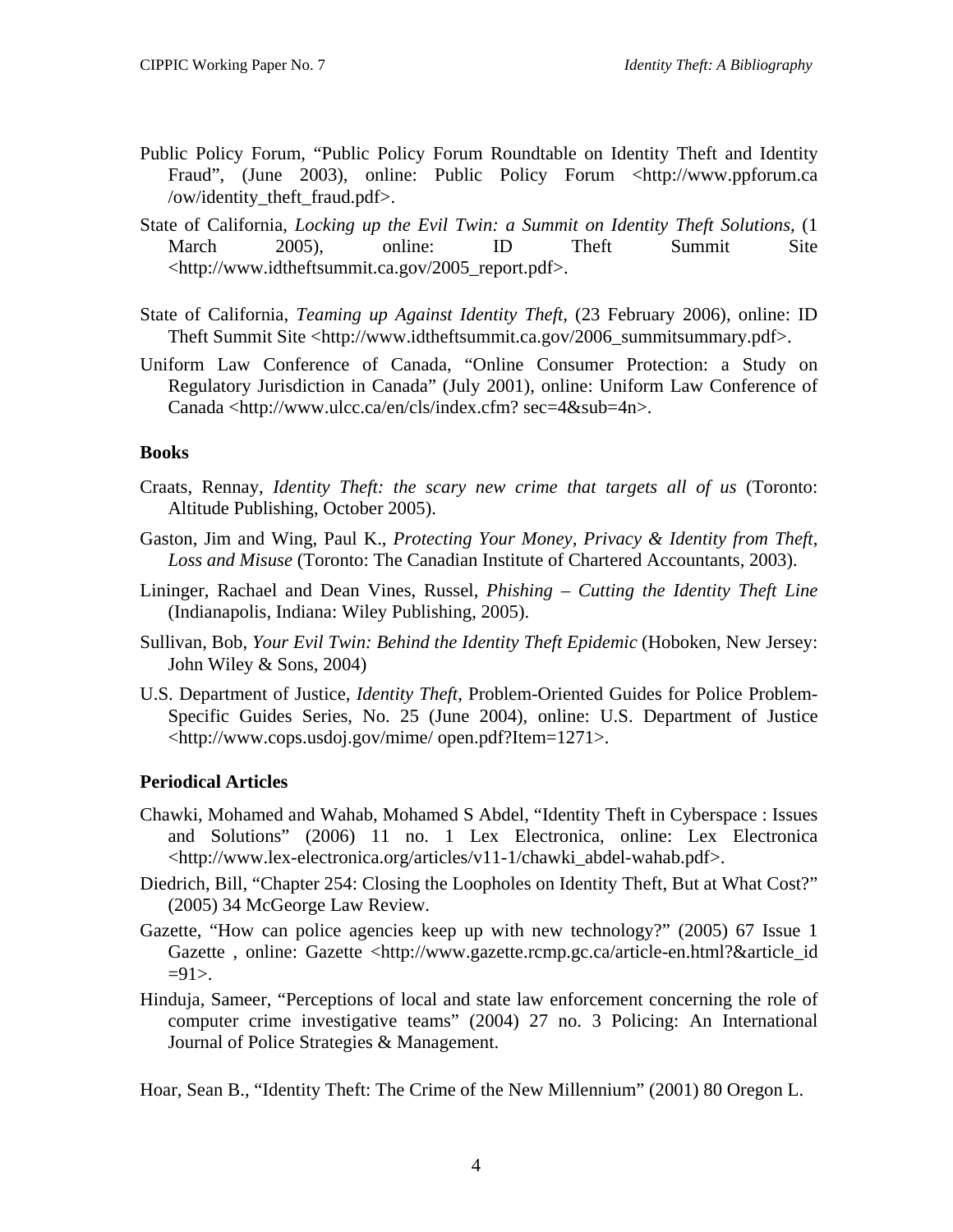- <span id="page-6-0"></span>Public Policy Forum, "Public Policy Forum Roundtable on Identity Theft and Identity Fraud", (June 2003), online: Public Policy Forum <http://www.ppforum.ca /ow/identity\_theft\_fraud.pdf>.
- State of California, *Locking up the Evil Twin: a Summit on Identity Theft Solutions,* (1 March 2005), online: ID Theft Summit Site <http://www.idtheftsummit.ca.gov/2005\_report.pdf>.
- State of California, *Teaming up Against Identity Theft,* (23 February 2006), online: ID Theft Summit Site <http://www.idtheftsummit.ca.gov/2006\_summitsummary.pdf>.
- Uniform Law Conference of Canada, "Online Consumer Protection: a Study on Regulatory Jurisdiction in Canada" (July 2001), online: Uniform Law Conference of Canada <http://www.ulcc.ca/en/cls/index.cfm? sec=4&sub=4n>.

# **Books**

- Craats, Rennay, *Identity Theft: the scary new crime that targets all of us* (Toronto: Altitude Publishing, October 2005).
- Gaston, Jim and Wing, Paul K., *Protecting Your Money, Privacy & Identity from Theft, Loss and Misuse* (Toronto: The Canadian Institute of Chartered Accountants, 2003).
- Lininger, Rachael and Dean Vines, Russel, *Phishing Cutting the Identity Theft Line* (Indianapolis, Indiana: Wiley Publishing, 2005).
- Sullivan, Bob, *Your Evil Twin: Behind the Identity Theft Epidemic* (Hoboken, New Jersey: John Wiley & Sons, 2004)
- U.S. Department of Justice, *Identity Theft*, Problem-Oriented Guides for Police Problem-Specific Guides Series, No. 25 (June 2004), online: U.S. Department of Justice <http://www.cops.usdoj.gov/mime/ open.pdf?Item=1271>.

# **Periodical Articles**

- Chawki, Mohamed and Wahab, Mohamed S Abdel, "Identity Theft in Cyberspace : Issues and Solutions" (2006) 11 no. 1 Lex Electronica, online: Lex Electronica <http://www.lex-electronica.org/articles/v11-1/chawki\_abdel-wahab.pdf>.
- Diedrich, Bill, "Chapter 254: Closing the Loopholes on Identity Theft, But at What Cost?" (2005) 34 McGeorge Law Review.
- Gazette, "How can police agencies keep up with new technology?" (2005) 67 Issue 1 Gazette , online: Gazette <http://www.gazette.rcmp.gc.ca/article-en.html?&article\_id  $=91$ .
- Hinduja, Sameer, "Perceptions of local and state law enforcement concerning the role of computer crime investigative teams" (2004) 27 no. 3 Policing: An International Journal of Police Strategies & Management.

Hoar, Sean B., "Identity Theft: The Crime of the New Millennium" (2001) 80 Oregon L.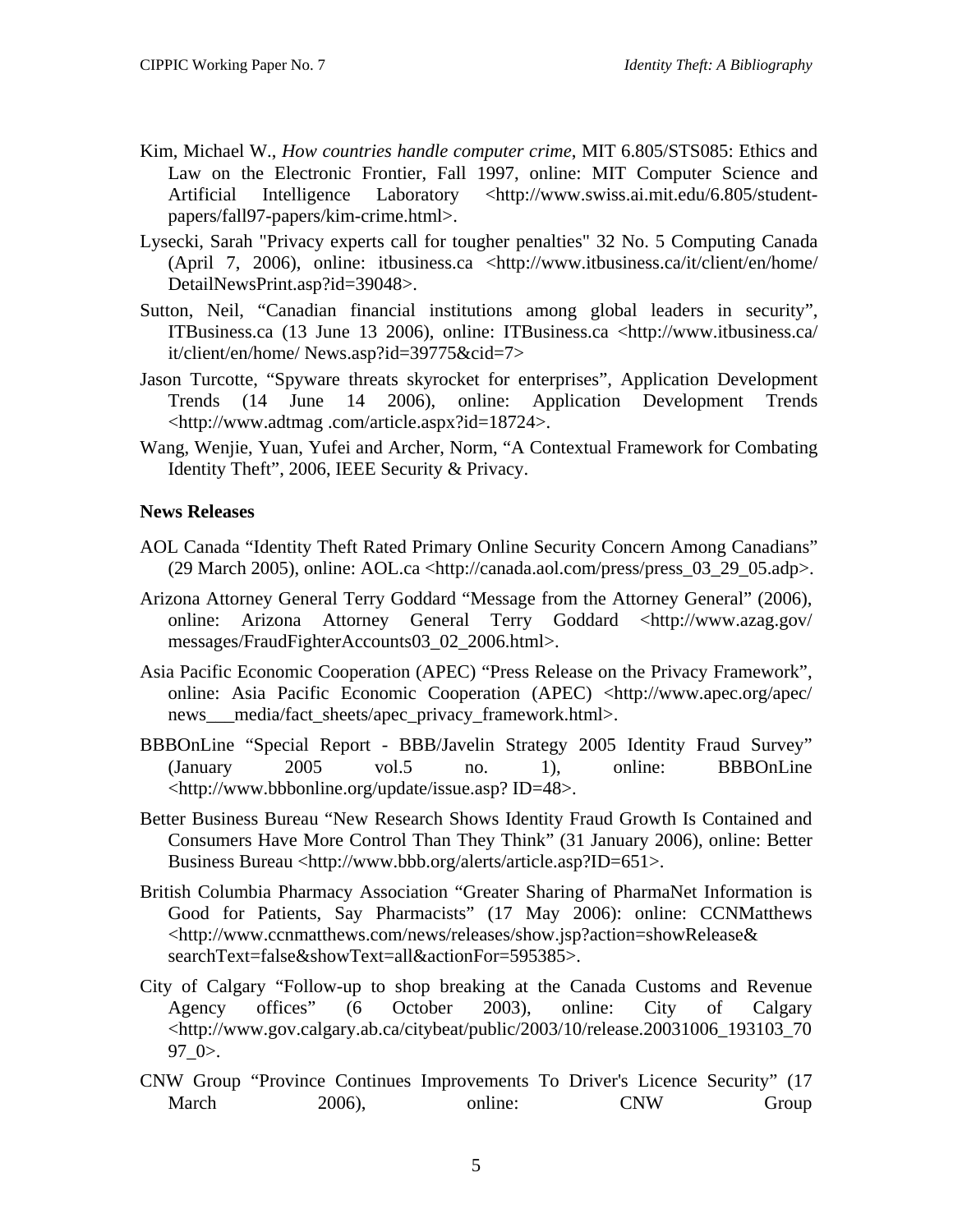- <span id="page-7-0"></span>Kim, Michael W., *How countries handle computer crime*, MIT 6.805/STS085: Ethics and Law on the Electronic Frontier, Fall 1997, online: MIT Computer Science and Artificial Intelligence Laboratory <http://www.swiss.ai.mit.edu/6.805/studentpapers/fall97-papers/kim-crime.html>.
- Lysecki, Sarah "Privacy experts call for tougher penalties" 32 No. 5 Computing Canada (April 7, 2006), online: itbusiness.ca <http://www.itbusiness.ca/it/client/en/home/ DetailNewsPrint.asp?id=39048>.
- Sutton, Neil, "Canadian financial institutions among global leaders in security", ITBusiness.ca (13 June 13 2006), online: ITBusiness.ca <http://www.itbusiness.ca/ it/client/en/home/ News.asp?id=39775&cid=7>
- Jason Turcotte, "Spyware threats skyrocket for enterprises"*,* Application Development Trends (14 June 14 2006), online: Application Development Trends <http://www.adtmag .com/article.aspx?id=18724>.
- Wang, Wenjie, Yuan, Yufei and Archer, Norm, "A Contextual Framework for Combating Identity Theft", 2006, IEEE Security & Privacy.

# **News Releases**

- AOL Canada "Identity Theft Rated Primary Online Security Concern Among Canadians"  $(29 \text{ March } 2005)$ , online: AOL.ca <http://canada.aol.com/press/press  $(03 \text{ } 29 \text{ } 05.$ adp>.
- Arizona Attorney General Terry Goddard "Message from the Attorney General" (2006), online: Arizona Attorney General Terry Goddard <http://www.azag.gov/ messages/FraudFighterAccounts03\_02\_2006.html>.
- Asia Pacific Economic Cooperation (APEC) "Press Release on the Privacy Framework", online: Asia Pacific Economic Cooperation (APEC) <http://www.apec.org/apec/ news\_\_\_media/fact\_sheets/apec\_privacy\_framework.html>.
- BBBOnLine "Special Report BBB/Javelin Strategy 2005 Identity Fraud Survey" (January 2005 vol.5 no. 1), online: BBBOnLine <http://www.bbbonline.org/update/issue.asp? ID=48>.
- Better Business Bureau "New Research Shows Identity Fraud Growth Is Contained and Consumers Have More Control Than They Think" (31 January 2006), online: Better Business Bureau <http://www.bbb.org/alerts/article.asp?ID=651>.
- British Columbia Pharmacy Association "Greater Sharing of PharmaNet Information is Good for Patients, Say Pharmacists" (17 May 2006): online: CCNMatthews <http://www.ccnmatthews.com/news/releases/show.jsp?action=showRelease& searchText=false&showText=all&actionFor=595385>.
- City of Calgary "Follow-up to shop breaking at the Canada Customs and Revenue Agency offices" (6 October 2003), online: City of Calgary <http://www.gov.calgary.ab.ca/citybeat/public/2003/10/release.20031006\_193103\_70 97\_0>.
- CNW Group "Province Continues Improvements To Driver's Licence Security" (17 March 2006), online: CNW Group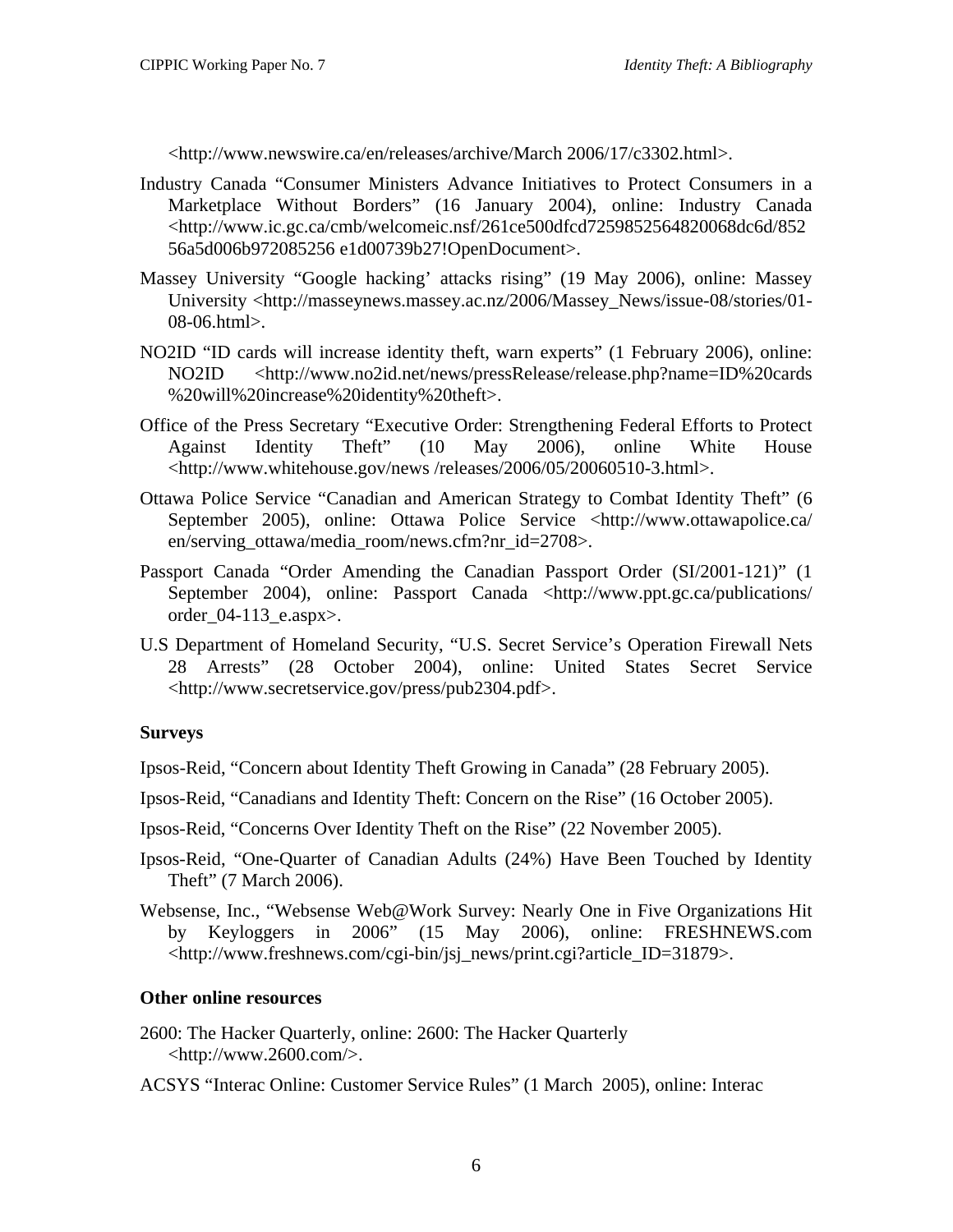<span id="page-8-0"></span><http://www.newswire.ca/en/releases/archive/March 2006/17/c3302.html>.

- Industry Canada "Consumer Ministers Advance Initiatives to Protect Consumers in a Marketplace Without Borders" (16 January 2004), online: Industry Canada <http://www.ic.gc.ca/cmb/welcomeic.nsf/261ce500dfcd7259852564820068dc6d/852 56a5d006b972085256 e1d00739b27!OpenDocument>.
- Massey University "Google hacking' attacks rising" (19 May 2006), online: Massey University <http://masseynews.massey.ac.nz/2006/Massey\_News/issue-08/stories/01- 08-06.html>.
- NO2ID "ID cards will increase identity theft, warn experts" (1 February 2006), online: NO2ID <http://www.no2id.net/news/pressRelease/release.php?name=ID%20cards %20will%20increase%20identity%20theft>.
- Office of the Press Secretary "Executive Order: Strengthening Federal Efforts to Protect Against Identity Theft" (10 May 2006), online White House <http://www.whitehouse.gov/news /releases/2006/05/20060510-3.html>.
- Ottawa Police Service "Canadian and American Strategy to Combat Identity Theft" (6 September 2005), online: Ottawa Police Service <http://www.ottawapolice.ca/ en/serving\_ottawa/media\_room/news.cfm?nr\_id=2708>.
- Passport Canada "Order Amending the Canadian Passport Order (SI/2001-121)" (1 September 2004), online: Passport Canada <http://www.ppt.gc.ca/publications/ order\_04-113\_e.aspx>.
- U.S Department of Homeland Security, "U.S. Secret Service's Operation Firewall Nets 28 Arrests" (28 October 2004), online: United States Secret Service <http://www.secretservice.gov/press/pub2304.pdf>.

# **Surveys**

- Ipsos-Reid, "Concern about Identity Theft Growing in Canada" (28 February 2005).
- Ipsos-Reid, "Canadians and Identity Theft: Concern on the Rise" (16 October 2005).
- Ipsos-Reid, "Concerns Over Identity Theft on the Rise" (22 November 2005).
- Ipsos-Reid, "One-Quarter of Canadian Adults (24%) Have Been Touched by Identity Theft" (7 March 2006).
- Websense, Inc., "Websense Web@Work Survey: Nearly One in Five Organizations Hit by Keyloggers in 2006" (15 May 2006), online: FRESHNEWS.com <http://www.freshnews.com/cgi-bin/jsj\_news/print.cgi?article\_ID=31879>.

# **Other online resources**

- 2600: The Hacker Quarterly, online: 2600: The Hacker Quarterly  $\langle \text{http://www.2600.com/}.$
- ACSYS "Interac Online: Customer Service Rules" (1 March 2005), online: Interac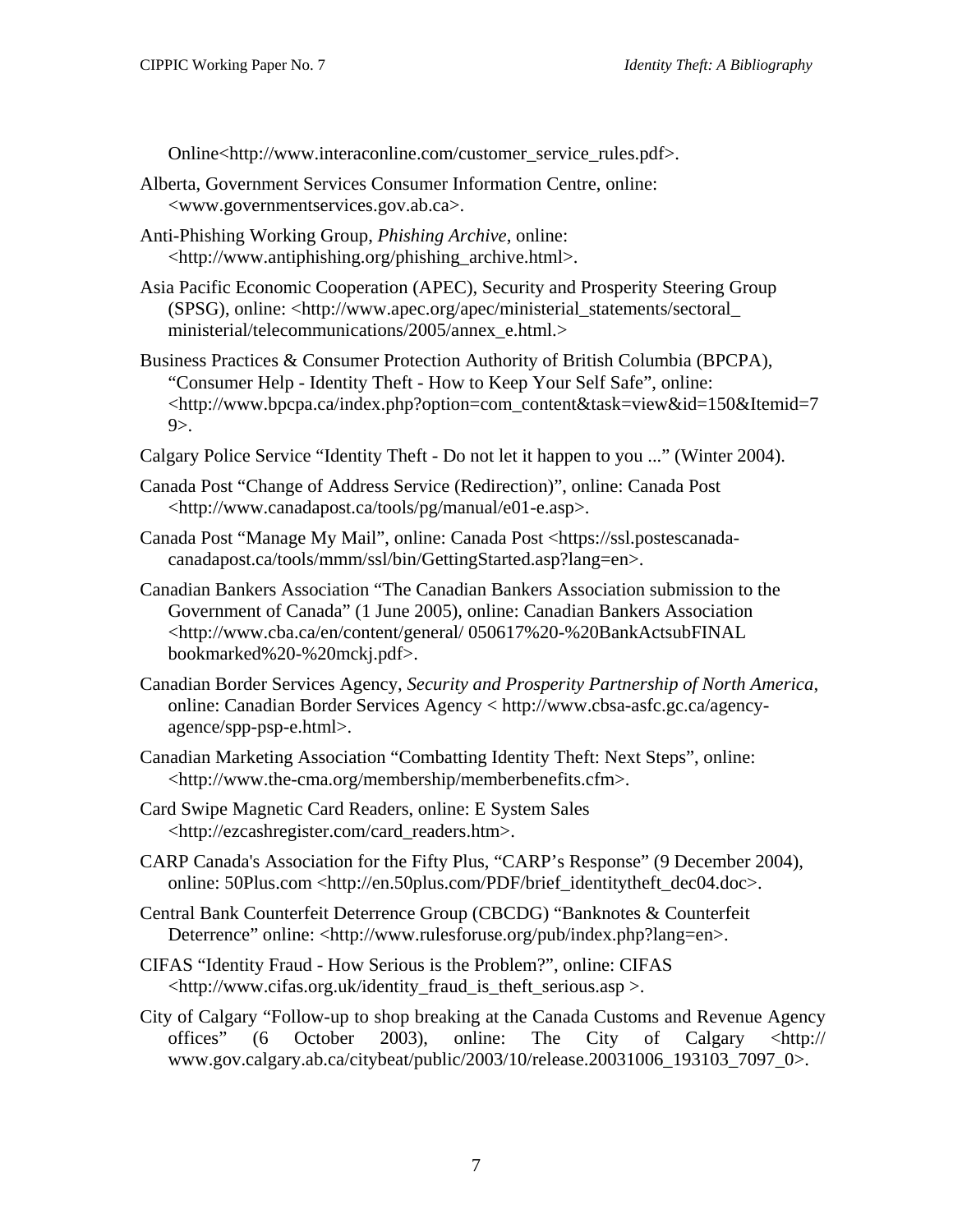Online<http://www.interaconline.com/customer\_service\_rules.pdf>.

- Alberta, Government Services Consumer Information Centre, online: <www.governmentservices.gov.ab.ca>.
- Anti-Phishing Working Group, *Phishing Archive*, online: <http://www.antiphishing.org/phishing\_archive.html>.
- Asia Pacific Economic Cooperation (APEC), Security and Prosperity Steering Group (SPSG), online: <http://www.apec.org/apec/ministerial\_statements/sectoral\_ ministerial/telecommunications/2005/annex\_e.html.>
- Business Practices & Consumer Protection Authority of British Columbia (BPCPA), "Consumer Help - Identity Theft - How to Keep Your Self Safe", online: <http://www.bpcpa.ca/index.php?option=com\_content&task=view&id=150&Itemid=7  $9$ .
- Calgary Police Service "Identity Theft Do not let it happen to you ..." (Winter 2004).
- Canada Post "Change of Address Service (Redirection)", online: Canada Post <http://www.canadapost.ca/tools/pg/manual/e01-e.asp>.
- Canada Post "Manage My Mail", online: Canada Post <https://ssl.postescanadacanadapost.ca/tools/mmm/ssl/bin/GettingStarted.asp?lang=en>.
- Canadian Bankers Association "The Canadian Bankers Association submission to the Government of Canada" (1 June 2005), online: Canadian Bankers Association <http://www.cba.ca/en/content/general/ 050617%20-%20BankActsubFINAL bookmarked%20-%20mckj.pdf>.
- Canadian Border Services Agency, *Security and Prosperity Partnership of North America*, online: Canadian Border Services Agency < http://www.cbsa-asfc.gc.ca/agencyagence/spp-psp-e.html>.
- Canadian Marketing Association "Combatting Identity Theft: Next Steps", online: <http://www.the-cma.org/membership/memberbenefits.cfm>.
- Card Swipe Magnetic Card Readers, online: E System Sales <http://ezcashregister.com/card\_readers.htm>.
- CARP Canada's Association for the Fifty Plus, "CARP's Response" (9 December 2004), online: 50Plus.com <http://en.50plus.com/PDF/brief\_identitytheft\_dec04.doc>.
- Central Bank Counterfeit Deterrence Group (CBCDG) "Banknotes & Counterfeit Deterrence" online: <http://www.rulesforuse.org/pub/index.php?lang=en>.
- CIFAS "Identity Fraud How Serious is the Problem?", online: CIFAS <http://www.cifas.org.uk/identity\_fraud\_is\_theft\_serious.asp >.
- City of Calgary "Follow-up to shop breaking at the Canada Customs and Revenue Agency offices" (6 October 2003), online: The City of Calgary <http:// www.gov.calgary.ab.ca/citybeat/public/2003/10/release.20031006\_193103\_7097\_0>.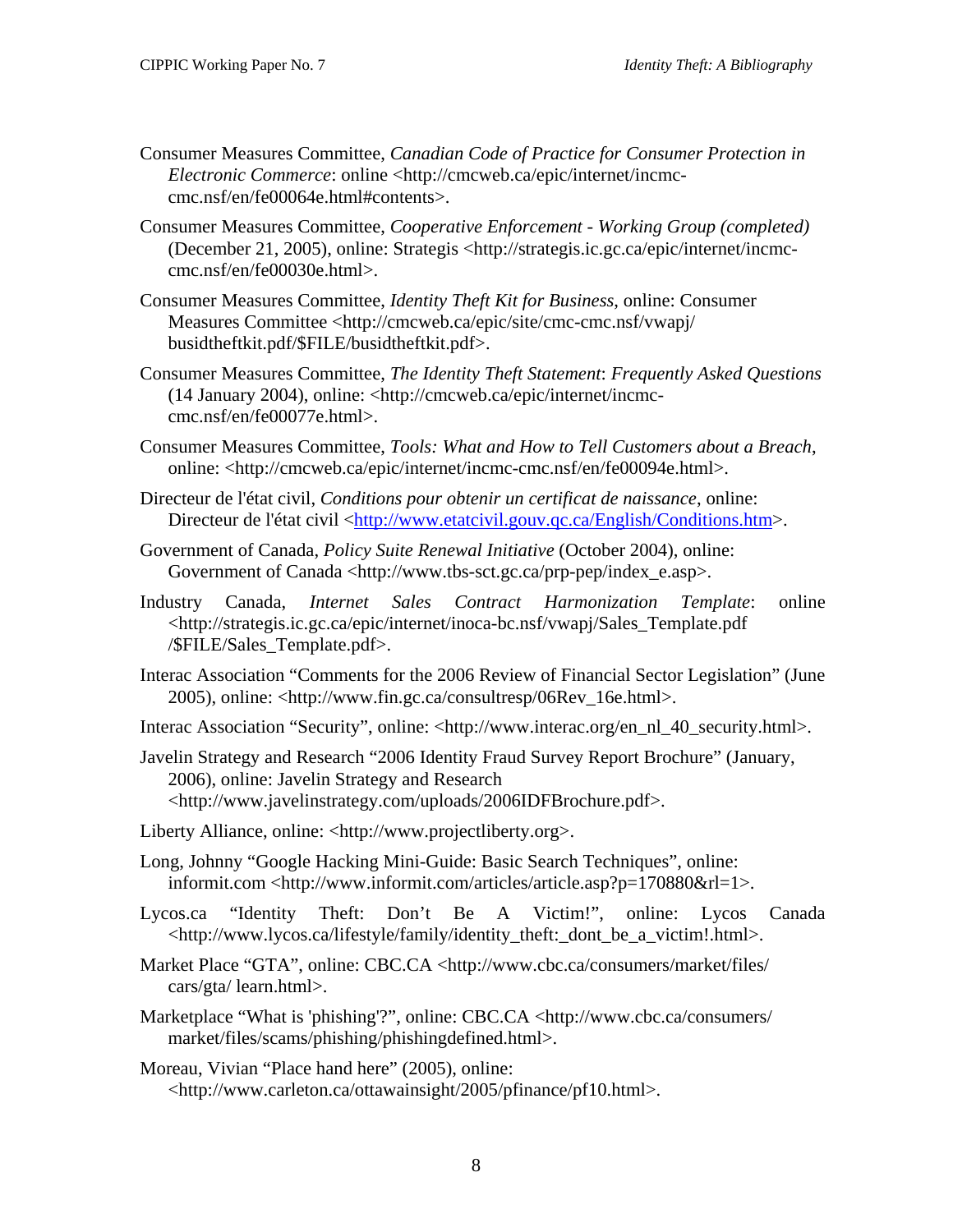- Consumer Measures Committee, *Canadian Code of Practice for Consumer Protection in Electronic Commerce*: online <http://cmcweb.ca/epic/internet/incmccmc.nsf/en/fe00064e.html#contents>.
- Consumer Measures Committee, *Cooperative Enforcement Working Group (completed)* (December 21, 2005), online: Strategis <http://strategis.ic.gc.ca/epic/internet/incmccmc.nsf/en/fe00030e.html>.
- Consumer Measures Committee, *Identity Theft Kit for Business*, online: Consumer Measures Committee <http://cmcweb.ca/epic/site/cmc-cmc.nsf/vwapj/ busidtheftkit.pdf/\$FILE/busidtheftkit.pdf>.
- Consumer Measures Committee, *The Identity Theft Statement*: *Frequently Asked Questions* (14 January 2004), online: <http://cmcweb.ca/epic/internet/incmccmc.nsf/en/fe00077e.html>.
- Consumer Measures Committee, *Tools: What and How to Tell Customers about a Breach*, online: <http://cmcweb.ca/epic/internet/incmc-cmc.nsf/en/fe00094e.html>.
- Directeur de l'état civil, *Conditions pour obtenir un certificat de naissance*, online: Directeur de l'état civil <[http://www.etatcivil.gouv.qc.ca/English/Conditions.htm>](http://www.etatcivil.gouv.qc.ca/English/Conditions.htm).
- Government of Canada, *Policy Suite Renewal Initiative* (October 2004), online: Government of Canada <http://www.tbs-sct.gc.ca/prp-pep/index\_e.asp>.
- Industry Canada, *Internet Sales Contract Harmonization Template*: online <http://strategis.ic.gc.ca/epic/internet/inoca-bc.nsf/vwapj/Sales\_Template.pdf /\$FILE/Sales\_Template.pdf>.
- Interac Association "Comments for the 2006 Review of Financial Sector Legislation" (June 2005), online: <http://www.fin.gc.ca/consultresp/06Rev\_16e.html>.
- Interac Association "Security", online: <http://www.interac.org/en\_nl\_40\_security.html>.

Javelin Strategy and Research "2006 Identity Fraud Survey Report Brochure" (January, 2006), online: Javelin Strategy and Research <http://www.javelinstrategy.com/uploads/2006IDFBrochure.pdf>.

- Liberty Alliance, online: <http://www.projectliberty.org>.
- Long, Johnny "Google Hacking Mini-Guide: Basic Search Techniques", online: informit.com <http://www.informit.com/articles/article.asp?p=170880&rl=1>.
- Lycos.ca "Identity Theft: Don't Be A Victim!", online: Lycos Canada <http://www.lycos.ca/lifestyle/family/identity\_theft:\_dont\_be\_a\_victim!.html>.
- Market Place "GTA", online: CBC.CA <http://www.cbc.ca/consumers/market/files/ cars/gta/ learn.html>.
- Marketplace "What is 'phishing'?", online: CBC.CA <http://www.cbc.ca/consumers/ market/files/scams/phishing/phishingdefined.html>.
- Moreau, Vivian "Place hand here" (2005), online: <http://www.carleton.ca/ottawainsight/2005/pfinance/pf10.html>.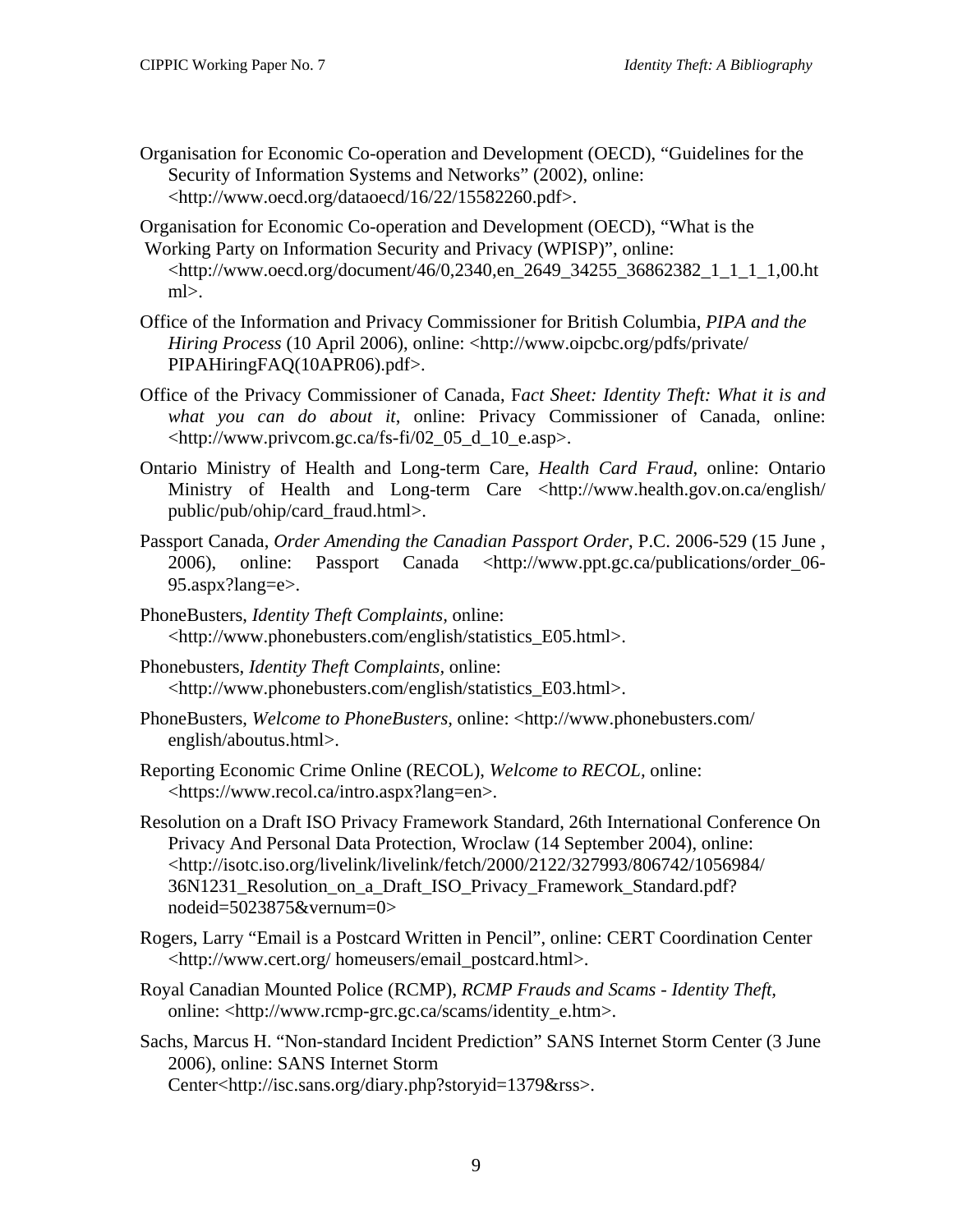- Organisation for Economic Co-operation and Development (OECD), "Guidelines for the Security of Information Systems and Networks" (2002), online: <http://www.oecd.org/dataoecd/16/22/15582260.pdf>.
- Organisation for Economic Co-operation and Development (OECD), "What is the Working Party on Information Security and Privacy (WPISP)", online: <http://www.oecd.org/document/46/0,2340,en\_2649\_34255\_36862382\_1\_1\_1\_1,00.ht ml>.
- Office of the Information and Privacy Commissioner for British Columbia, *PIPA and the Hiring Process* (10 April 2006), online: <http://www.oipcbc.org/pdfs/private/ PIPAHiringFAQ(10APR06).pdf>.
- Office of the Privacy Commissioner of Canada, F*act Sheet: Identity Theft: What it is and what you can do about it*, online: Privacy Commissioner of Canada, online: <http://www.privcom.gc.ca/fs-fi/02\_05\_d\_10\_e.asp>.
- Ontario Ministry of Health and Long-term Care, *Health Card Fraud*, online: Ontario Ministry of Health and Long-term Care <http://www.health.gov.on.ca/english/ public/pub/ohip/card\_fraud.html>.
- Passport Canada, *Order Amending the Canadian Passport Order*, P.C. 2006-529 (15 June , 2006), online: Passport Canada <http://www.ppt.gc.ca/publications/order\_06- 95.aspx?lang=e>.
- PhoneBusters, *Identity Theft Complaints,* online: <http://www.phonebusters.com/english/statistics\_E05.html>.
- Phonebusters, *Identity Theft Complaints,* online: <http://www.phonebusters.com/english/statistics\_E03.html>.
- PhoneBusters, *Welcome to PhoneBusters,* online: <http://www.phonebusters.com/ english/aboutus.html>.
- Reporting Economic Crime Online (RECOL), *Welcome to RECOL,* online: <https://www.recol.ca/intro.aspx?lang=en>.
- Resolution on a Draft ISO Privacy Framework Standard, 26th International Conference On Privacy And Personal Data Protection, Wroclaw (14 September 2004), online: <http://isotc.iso.org/livelink/livelink/fetch/2000/2122/327993/806742/1056984/ 36N1231\_Resolution\_on\_a\_Draft\_ISO\_Privacy\_Framework\_Standard.pdf? nodeid=5023875&vernum=0>
- Rogers, Larry "Email is a Postcard Written in Pencil", online: CERT Coordination Center <http://www.cert.org/ homeusers/email\_postcard.html>.
- Royal Canadian Mounted Police (RCMP), *RCMP Frauds and Scams Identity Theft,*  online: <http://www.rcmp-grc.gc.ca/scams/identity\_e.htm>.
- Sachs, Marcus H. "Non-standard Incident Prediction" SANS Internet Storm Center (3 June 2006), online: SANS Internet Storm Center<http://isc.sans.org/diary.php?storyid=1379&rss>.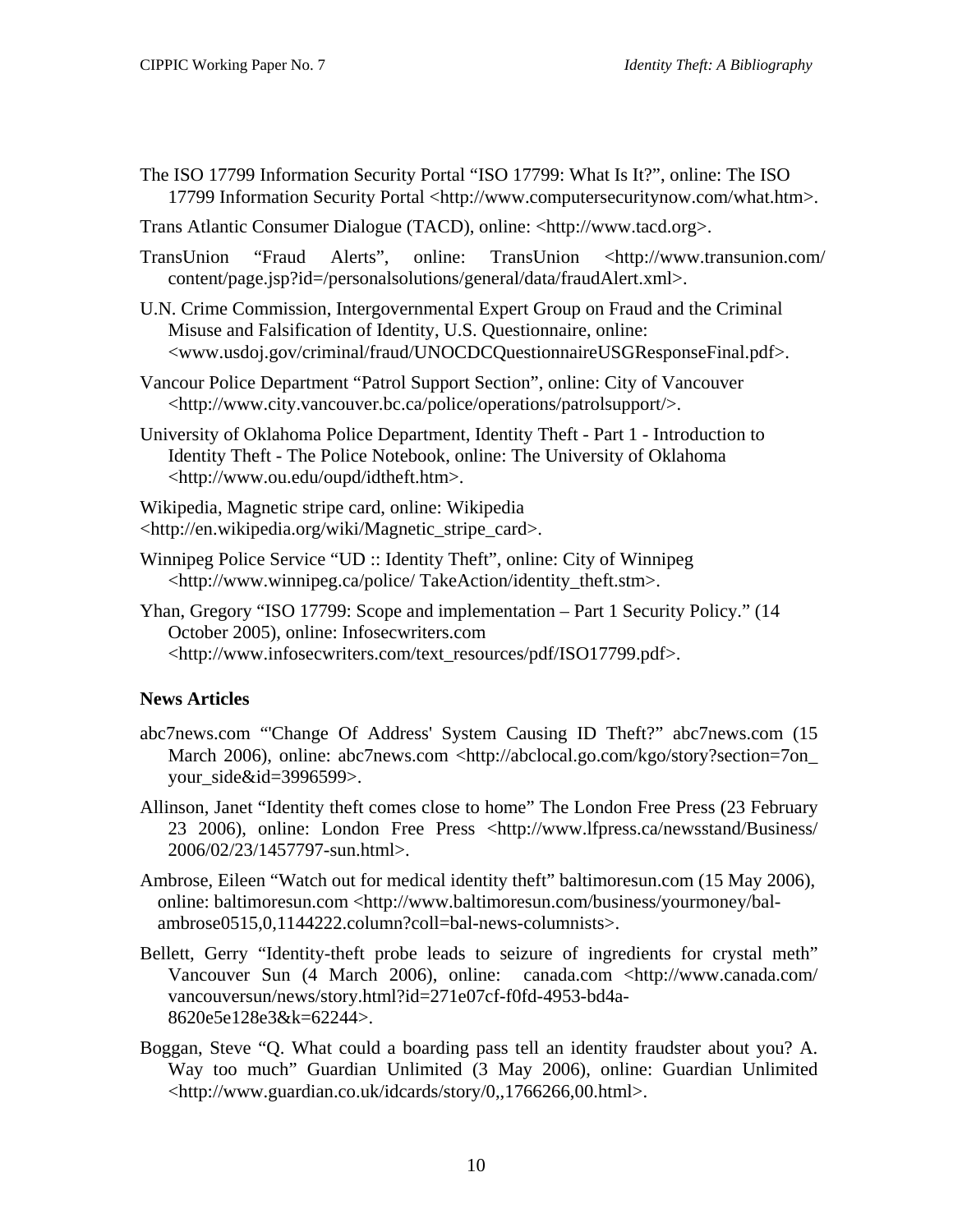- <span id="page-12-0"></span>The ISO 17799 Information Security Portal "ISO 17799: What Is It?", online: The ISO 17799 Information Security Portal <http://www.computersecuritynow.com/what.htm>.
- Trans Atlantic Consumer Dialogue (TACD), online: <http://www.tacd.org>.
- TransUnion "Fraud Alerts", online: TransUnion <http://www.transunion.com/ content/page.jsp?id=/personalsolutions/general/data/fraudAlert.xml>.
- U.N. Crime Commission, Intergovernmental Expert Group on Fraud and the Criminal Misuse and Falsification of Identity, U.S. Questionnaire, online: <www.usdoj.gov/criminal/fraud/UNOCDCQuestionnaireUSGResponseFinal.pdf>.
- Vancour Police Department "Patrol Support Section", online: City of Vancouver <http://www.city.vancouver.bc.ca/police/operations/patrolsupport/>.
- University of Oklahoma Police Department, Identity Theft Part 1 Introduction to Identity Theft - The Police Notebook, online: The University of Oklahoma <http://www.ou.edu/oupd/idtheft.htm>.

Wikipedia, Magnetic stripe card, online: Wikipedia <http://en.wikipedia.org/wiki/Magnetic\_stripe\_card>.

- Winnipeg Police Service "UD :: Identity Theft", online: City of Winnipeg <http://www.winnipeg.ca/police/ TakeAction/identity\_theft.stm>.
- Yhan, Gregory "ISO 17799: Scope and implementation Part 1 Security Policy." (14 October 2005), online: Infosecwriters.com <http://www.infosecwriters.com/text\_resources/pdf/ISO17799.pdf>.

# **News Articles**

- abc7news.com "'Change Of Address' System Causing ID Theft?" abc7news.com (15 March 2006), online: abc7news.com <http://abclocal.go.com/kgo/story?section=7on\_ your\_side&id=3996599>.
- Allinson, Janet "Identity theft comes close to home" The London Free Press (23 February 23 2006), online: London Free Press <http://www.lfpress.ca/newsstand/Business/ 2006/02/23/1457797-sun.html>.
- Ambrose, Eileen "Watch out for medical identity theft" baltimoresun.com (15 May 2006), online: baltimoresun.com <http://www.baltimoresun.com/business/yourmoney/balambrose0515,0,1144222.column?coll=bal-news-columnists>.
- Bellett, Gerry "Identity-theft probe leads to seizure of ingredients for crystal meth" Vancouver Sun (4 March 2006), online: canada.com <http://www.canada.com/ vancouversun/news/story.html?id=271e07cf-f0fd-4953-bd4a-8620e5e128e3&k=62244>.
- Boggan, Steve "Q. What could a boarding pass tell an identity fraudster about you? A. Way too much" Guardian Unlimited (3 May 2006), online: Guardian Unlimited <http://www.guardian.co.uk/idcards/story/0,,1766266,00.html>.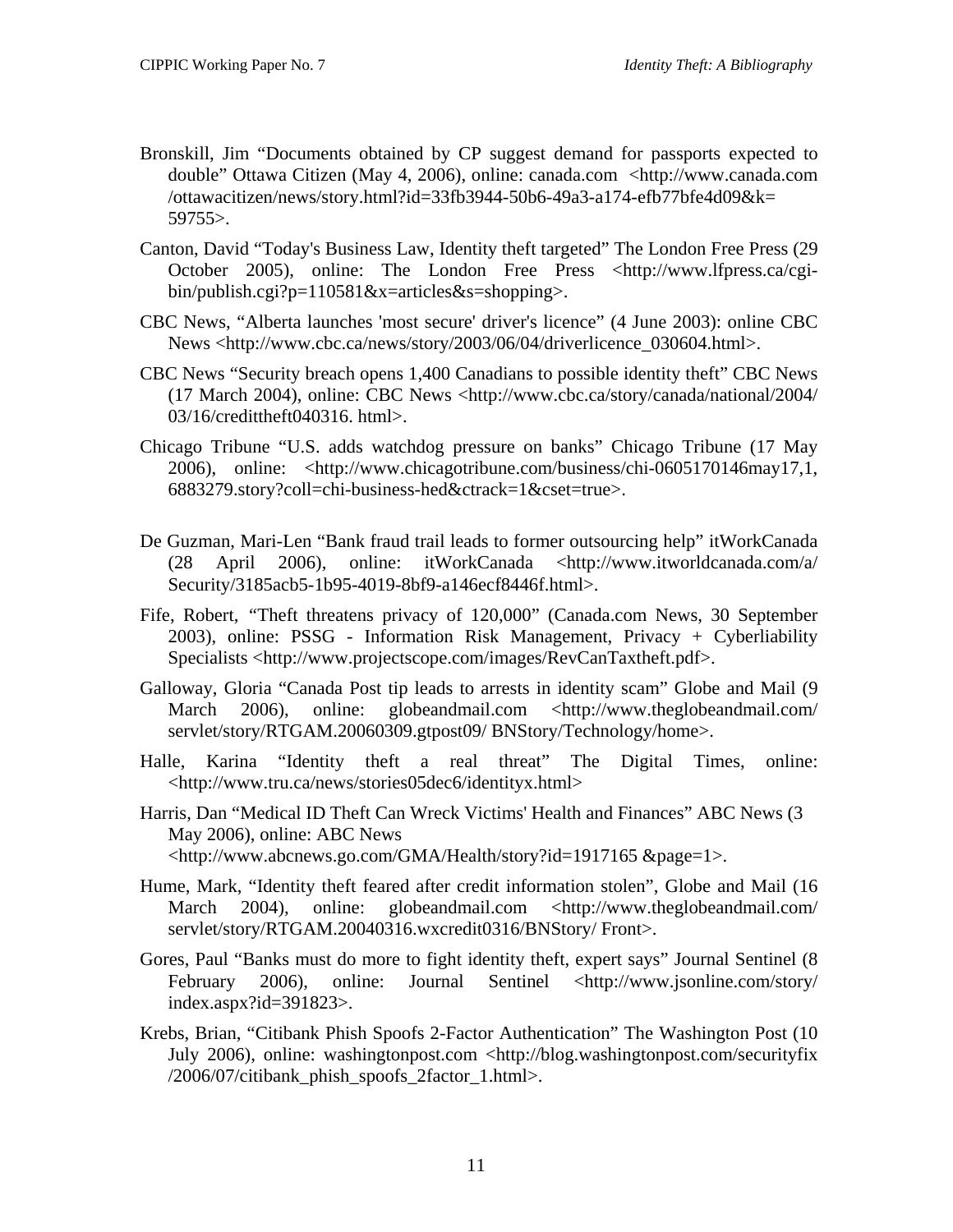- Bronskill, Jim "Documents obtained by CP suggest demand for passports expected to double" Ottawa Citizen (May 4, 2006), online: canada.com <http://www.canada.com /ottawacitizen/news/story.html?id=33fb3944-50b6-49a3-a174-efb77bfe4d09&k= 59755>.
- Canton, David "Today's Business Law, Identity theft targeted" The London Free Press (29 October 2005), online: The London Free Press <http://www.lfpress.ca/cgibin/publish.cgi?p=110581&x=articles&s=shopping>.
- CBC News, "Alberta launches 'most secure' driver's licence" (4 June 2003): online CBC News <http://www.cbc.ca/news/story/2003/06/04/driverlicence\_030604.html>.
- CBC News "Security breach opens 1,400 Canadians to possible identity theft" CBC News (17 March 2004), online: CBC News <http://www.cbc.ca/story/canada/national/2004/ 03/16/credittheft040316. html>.
- Chicago Tribune "U.S. adds watchdog pressure on banks" Chicago Tribune (17 May 2006), online: <http://www.chicagotribune.com/business/chi-0605170146may17,1, 6883279.story?coll=chi-business-hed&ctrack=1&cset=true>.
- De Guzman, Mari-Len "Bank fraud trail leads to former outsourcing help" itWorkCanada (28 April 2006), online: itWorkCanada <http://www.itworldcanada.com/a/ Security/3185acb5-1b95-4019-8bf9-a146ecf8446f.html>.
- Fife, Robert, *"*Theft threatens privacy of 120,000" (Canada.com News, 30 September 2003), online: PSSG - Information Risk Management, Privacy + Cyberliability Specialists <http://www.projectscope.com/images/RevCanTaxtheft.pdf>.
- Galloway, Gloria "Canada Post tip leads to arrests in identity scam" Globe and Mail (9 March 2006), online: globeandmail.com <http://www.theglobeandmail.com/ servlet/story/RTGAM.20060309.gtpost09/ BNStory/Technology/home>.
- Halle, Karina "Identity theft a real threat" The Digital Times, online: <http://www.tru.ca/news/stories05dec6/identityx.html>
- Harris, Dan "Medical ID Theft Can Wreck Victims' Health and Finances" ABC News (3 May 2006), online: ABC News <http://www.abcnews.go.com/GMA/Health/story?id=1917165 &page=1>.
- Hume, Mark, "Identity theft feared after credit information stolen", Globe and Mail (16 March 2004), online: globeandmail.com <http://www.theglobeandmail.com/ servlet/story/RTGAM.20040316.wxcredit0316/BNStory/ Front>.
- Gores, Paul "Banks must do more to fight identity theft, expert says" Journal Sentinel (8 February 2006), online: Journal Sentinel <http://www.jsonline.com/story/ index.aspx?id=391823>.
- Krebs, Brian, "Citibank Phish Spoofs 2-Factor Authentication" The Washington Post (10 July 2006), online: washingtonpost.com <http://blog.washingtonpost.com/securityfix /2006/07/citibank\_phish\_spoofs\_2factor\_1.html>.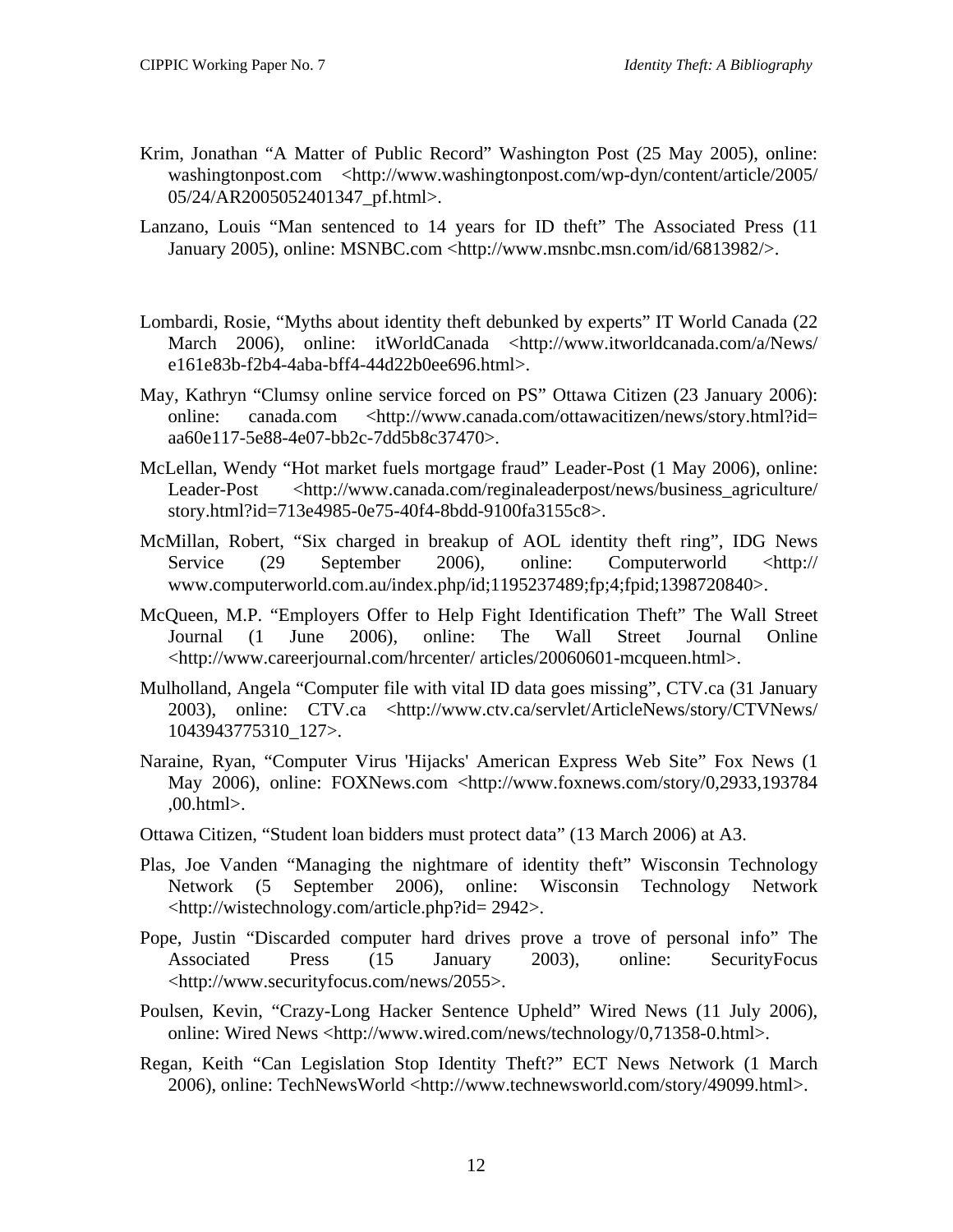- Krim, Jonathan "A Matter of Public Record" Washington Post (25 May 2005), online: washingtonpost.com <http://www.washingtonpost.com/wp-dyn/content/article/2005/ 05/24/AR2005052401347\_pf.html>.
- Lanzano, Louis "Man sentenced to 14 years for ID theft" The Associated Press (11 January 2005), online: MSNBC.com <http://www.msnbc.msn.com/id/6813982/>.
- Lombardi, Rosie, "Myths about identity theft debunked by experts" IT World Canada (22 March 2006), online: itWorldCanada <http://www.itworldcanada.com/a/News/ e161e83b-f2b4-4aba-bff4-44d22b0ee696.html>.
- May, Kathryn "Clumsy online service forced on PS" Ottawa Citizen (23 January 2006): online: canada.com <http://www.canada.com/ottawacitizen/news/story.html?id= aa60e117-5e88-4e07-bb2c-7dd5b8c37470>.
- McLellan, Wendy "Hot market fuels mortgage fraud" Leader-Post (1 May 2006), online: Leader-Post <http://www.canada.com/reginaleaderpost/news/business\_agriculture/ story.html?id=713e4985-0e75-40f4-8bdd-9100fa3155c8>.
- McMillan, Robert, "Six charged in breakup of AOL identity theft ring", IDG News Service (29 September 2006), online: Computerworld <http:// www.computerworld.com.au/index.php/id;1195237489;fp;4;fpid;1398720840>.
- McQueen, M.P. "Employers Offer to Help Fight Identification Theft" The Wall Street Journal (1 June 2006), online: The Wall Street Journal Online <http://www.careerjournal.com/hrcenter/ articles/20060601-mcqueen.html>.
- Mulholland, Angela "Computer file with vital ID data goes missing", CTV.ca (31 January 2003), online: CTV.ca <http://www.ctv.ca/servlet/ArticleNews/story/CTVNews/ 1043943775310\_127>.
- Naraine, Ryan, "Computer Virus 'Hijacks' American Express Web Site" Fox News (1 May 2006), online: FOXNews.com <http://www.foxnews.com/story/0,2933,193784 ,00.html>.
- Ottawa Citizen, "Student loan bidders must protect data" (13 March 2006) at A3.
- Plas, Joe Vanden "Managing the nightmare of identity theft" Wisconsin Technology Network (5 September 2006), online: Wisconsin Technology Network <http://wistechnology.com/article.php?id= 2942>.
- Pope, Justin "Discarded computer hard drives prove a trove of personal info" The Associated Press (15 January 2003), online: SecurityFocus <http://www.securityfocus.com/news/2055>.
- Poulsen, Kevin, "Crazy-Long Hacker Sentence Upheld" Wired News (11 July 2006), online: Wired News <http://www.wired.com/news/technology/0,71358-0.html>.
- Regan, Keith "Can Legislation Stop Identity Theft?" ECT News Network (1 March 2006), online: TechNewsWorld <http://www.technewsworld.com/story/49099.html>.